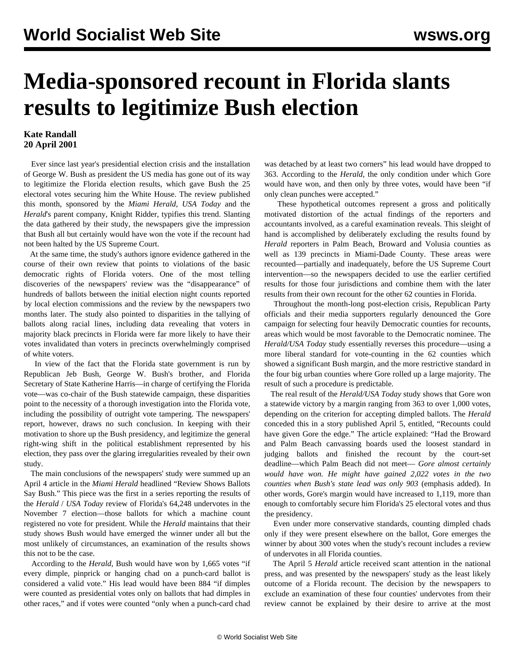## **Media-sponsored recount in Florida slants results to legitimize Bush election**

## **Kate Randall 20 April 2001**

 Ever since last year's presidential election crisis and the installation of George W. Bush as president the US media has gone out of its way to legitimize the Florida election results, which gave Bush the 25 electoral votes securing him the White House. The review published this month, sponsored by the *Miami Herald*, *USA Today* and the *Herald*'s parent company, Knight Ridder, typifies this trend. Slanting the data gathered by their study, the newspapers give the impression that Bush all but certainly would have won the vote if the recount had not been halted by the US Supreme Court.

 At the same time, the study's authors ignore evidence gathered in the course of their own review that points to violations of the basic democratic rights of Florida voters. One of the most telling discoveries of the newspapers' review was the "disappearance" of hundreds of ballots between the initial election night counts reported by local election commissions and the review by the newspapers two months later. The study also pointed to disparities in the tallying of ballots along racial lines, including data revealing that voters in majority black precincts in Florida were far more likely to have their votes invalidated than voters in precincts overwhelmingly comprised of white voters.

 In view of the fact that the Florida state government is run by Republican Jeb Bush, George W. Bush's brother, and Florida Secretary of State Katherine Harris—in charge of certifying the Florida vote—was co-chair of the Bush statewide campaign, these disparities point to the necessity of a thorough investigation into the Florida vote, including the possibility of outright vote tampering. The newspapers' report, however, draws no such conclusion. In keeping with their motivation to shore up the Bush presidency, and legitimize the general right-wing shift in the political establishment represented by his election, they pass over the glaring irregularities revealed by their own study.

 The main conclusions of the newspapers' study were summed up an April 4 article in the *Miami Herald* headlined "Review Shows Ballots Say Bush." This piece was the first in a series reporting the results of the *Herald* / *USA Today* review of Florida's 64,248 undervotes in the November 7 election—those ballots for which a machine count registered no vote for president. While the *Herald* maintains that their study shows Bush would have emerged the winner under all but the most unlikely of circumstances, an examination of the results shows this not to be the case.

 According to the *Herald*, Bush would have won by 1,665 votes "if every dimple, pinprick or hanging chad on a punch-card ballot is considered a valid vote." His lead would have been 884 "if dimples were counted as presidential votes only on ballots that had dimples in other races," and if votes were counted "only when a punch-card chad was detached by at least two corners" his lead would have dropped to 363. According to the *Herald*, the only condition under which Gore would have won, and then only by three votes, would have been "if only clean punches were accepted."

 These hypothetical outcomes represent a gross and politically motivated distortion of the actual findings of the reporters and accountants involved, as a careful examination reveals. This sleight of hand is accomplished by deliberately excluding the results found by *Herald* reporters in Palm Beach, Broward and Volusia counties as well as 139 precincts in Miami-Dade County. These areas were recounted—partially and inadequately, before the US Supreme Court intervention—so the newspapers decided to use the earlier certified results for those four jurisdictions and combine them with the later results from their own recount for the other 62 counties in Florida.

 Throughout the month-long post-election crisis, Republican Party officials and their media supporters regularly denounced the Gore campaign for selecting four heavily Democratic counties for recounts, areas which would be most favorable to the Democratic nominee. The *Herald/USA Today* study essentially reverses this procedure—using a more liberal standard for vote-counting in the 62 counties which showed a significant Bush margin, and the more restrictive standard in the four big urban counties where Gore rolled up a large majority. The result of such a procedure is predictable.

 The real result of the *Herald/USA Today* study shows that Gore won a statewide victory by a margin ranging from 363 to over 1,000 votes, depending on the criterion for accepting dimpled ballots. The *Herald* conceded this in a story published April 5, entitled, "Recounts could have given Gore the edge." The article explained: "Had the Broward and Palm Beach canvassing boards used the loosest standard in judging ballots and finished the recount by the court-set deadline—which Palm Beach did not meet— *Gore almost certainly would have won. He might have gained 2,022 votes in the two counties when Bush's state lead was only 903* (emphasis added). In other words, Gore's margin would have increased to 1,119, more than enough to comfortably secure him Florida's 25 electoral votes and thus the presidency.

 Even under more conservative standards, counting dimpled chads only if they were present elsewhere on the ballot, Gore emerges the winner by about 300 votes when the study's recount includes a review of undervotes in all Florida counties.

 The April 5 *Herald* article received scant attention in the national press, and was presented by the newspapers' study as the least likely outcome of a Florida recount. The decision by the newspapers to exclude an examination of these four counties' undervotes from their review cannot be explained by their desire to arrive at the most